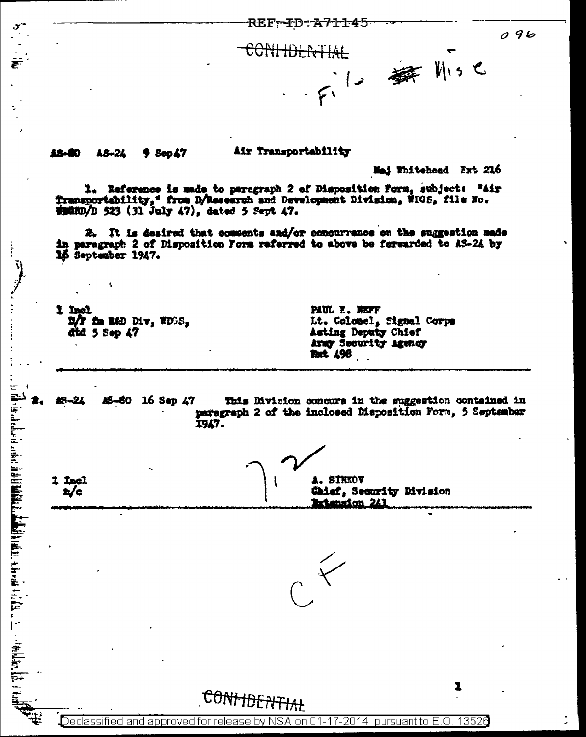**REF-FD:A71145** 

CONHOLATIAL 1. 舞 川い

12-50 18-24  $9$  Sep $47$  Air Transportability

Maj Whitehead Ext 216

 $096$ 

1. Reference is unde to paragraph 2 of Disposition Form, subject: "Air Transportability," from D/Research and Development Division, NDOS, file No.  $\frac{1}{2}$  (31 July 47), dated 5 Sept 47.

2. It is desired that comments and/or concurrence on the suggestion made in paragraph 2 of Disposition Form referred to above be forwarded to AS-24 by 16 September 1947.

**Tan'i** D/F fa R&D Div, WDGS, did 5 Sep 47

t,

 $\vec{h}$  is defined in the contribution of the set of  $\vec{h}$  . The contribution of  $\vec{h}$  is the contribution of  $\vec{h}$ 

1 Incl

 $\mathbf{z}/\mathbf{c}$ 

PAUL E. KEFF Lt. Celonel, Signal Corps Acting Deputy Chief Army Security Agency **Ext. 498** 

19-21 AS-80 16 Sep 47 This Division concurs in the suggestion contained in paragraph 2 of the inclosed Disposition Form, 5 September 1947.

**A. SIRKOV** Chief, Security Division rtension 241



1

CONHUENTIAL

Declassified and approved for release by NSA on 01-17-2014 pursuant to E.O. 13526